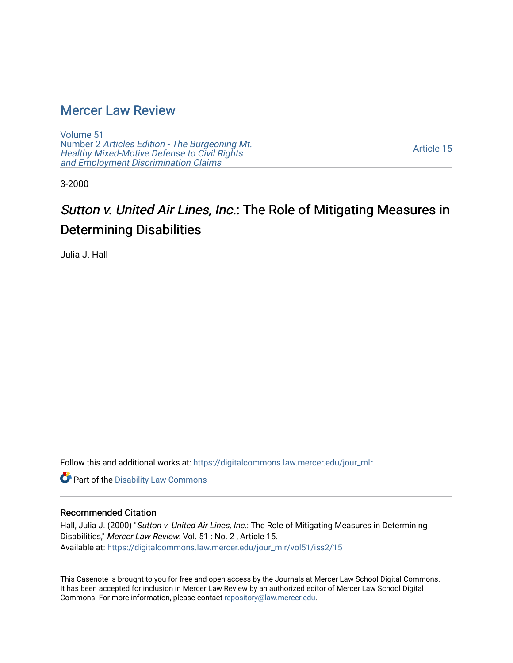## [Mercer Law Review](https://digitalcommons.law.mercer.edu/jour_mlr)

[Volume 51](https://digitalcommons.law.mercer.edu/jour_mlr/vol51) Number 2 [Articles Edition - The Burgeoning Mt.](https://digitalcommons.law.mercer.edu/jour_mlr/vol51/iss2)  Healthy [Mixed-Motive Defense to Civil Rights](https://digitalcommons.law.mercer.edu/jour_mlr/vol51/iss2)  [and Employment Discrimination Claims](https://digitalcommons.law.mercer.edu/jour_mlr/vol51/iss2)

[Article 15](https://digitalcommons.law.mercer.edu/jour_mlr/vol51/iss2/15) 

3-2000

# Sutton v. United Air Lines, Inc.: The Role of Mitigating Measures in Determining Disabilities

Julia J. Hall

Follow this and additional works at: [https://digitalcommons.law.mercer.edu/jour\\_mlr](https://digitalcommons.law.mercer.edu/jour_mlr?utm_source=digitalcommons.law.mercer.edu%2Fjour_mlr%2Fvol51%2Fiss2%2F15&utm_medium=PDF&utm_campaign=PDFCoverPages)

Part of the [Disability Law Commons](http://network.bepress.com/hgg/discipline/1074?utm_source=digitalcommons.law.mercer.edu%2Fjour_mlr%2Fvol51%2Fiss2%2F15&utm_medium=PDF&utm_campaign=PDFCoverPages) 

#### Recommended Citation

Hall, Julia J. (2000) "Sutton v. United Air Lines, Inc.: The Role of Mitigating Measures in Determining Disabilities," Mercer Law Review: Vol. 51 : No. 2 , Article 15. Available at: [https://digitalcommons.law.mercer.edu/jour\\_mlr/vol51/iss2/15](https://digitalcommons.law.mercer.edu/jour_mlr/vol51/iss2/15?utm_source=digitalcommons.law.mercer.edu%2Fjour_mlr%2Fvol51%2Fiss2%2F15&utm_medium=PDF&utm_campaign=PDFCoverPages) 

This Casenote is brought to you for free and open access by the Journals at Mercer Law School Digital Commons. It has been accepted for inclusion in Mercer Law Review by an authorized editor of Mercer Law School Digital Commons. For more information, please contact [repository@law.mercer.edu.](mailto:repository@law.mercer.edu)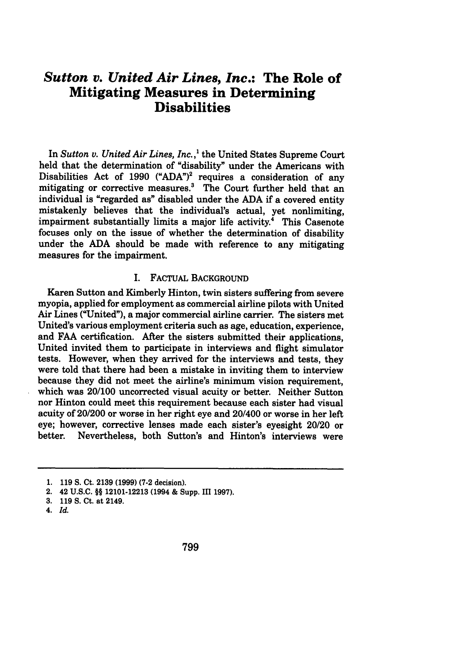### *Sutton v. United Air Lines, Inc.:* **The Role of Mitigating Measures in Determining Disabilities**

In *Sutton v. United Air Lines, Inc.,'* the United States Supreme Court held that the determination of "disability" under the Americans with Disabilities Act of 1990 **("ADA")2** requires a consideration of any mitigating or corrective measures.<sup>3</sup> The Court further held that an individual is "regarded as" disabled under the **ADA** if a covered entity mistakenly believes that the individual's actual, yet nonlimiting, impairment substantially limits a major life activity.<sup>4</sup> This Casenote focuses only on the issue of whether the determination of disability under the **ADA** should be made with reference to any mitigating measures for the impairment.

#### I. FACTUAL BACKGROUND

Karen Sutton and Kimberly Hinton, twin sisters suffering from severe myopia, applied for employment as commercial airline pilots with United Air Lines ("United"), a major commercial airline carrier. The sisters met United's various employment criteria such as age, education, experience, and FAA certification. After the sisters submitted their applications, United invited them to participate in interviews and flight simulator tests. However, when they arrived for the interviews and tests, they were told that there had been a mistake in inviting them to interview because they did not meet the airline's minimum vision requirement, which was 20/100 uncorrected visual acuity or better. Neither Sutton nor Hinton could meet this requirement because each sister had visual acuity of 20/200 or worse in her right eye and 20/400 or worse in her left eye; however, corrective lenses made each sister's eyesight 20/20 or better. Nevertheless, both Sutton's and Hinton's interviews were

<sup>1.</sup> **119** S. Ct. **2139 (1999) (7-2** decision).

<sup>2. 42</sup> U.S.C. §§ 12101-12213 (1994 & Supp. **III 1997).**

**<sup>3. 119</sup>** S. Ct. at 2149.

<sup>4.</sup> *Id.*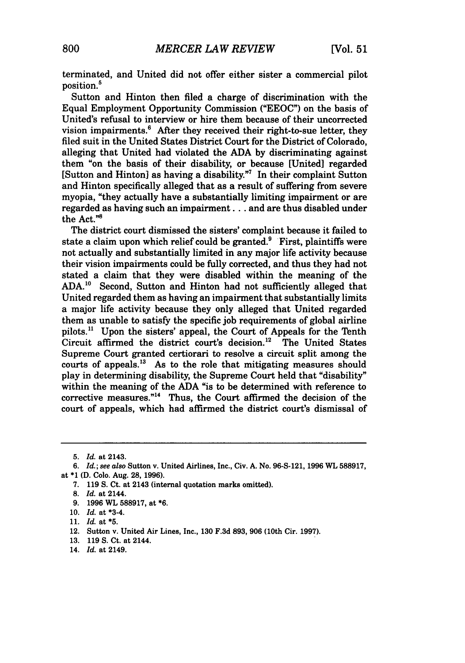terminated, and United did not offer either sister a commercial pilot position.5

Sutton and Hinton then filed a charge of discrimination with the Equal Employment Opportunity Commission ("EEOC") on the basis of United's refusal to interview or hire them because of their uncorrected vision impairments. $6$  After they received their right-to-sue letter, they filed suit in the United States District Court for the District of Colorado, alleging that United had violated the **ADA** by discriminating against them "on the basis of their disability, or because [United] regarded [Sutton and Hinton] as having a disability.<sup>77</sup> In their complaint Sutton and Hinton specifically alleged that as a result of suffering from severe myopia, "they actually have a substantially limiting impairment or are regarded as having such an impairment... and are thus disabled under the Act."8

The district court dismissed the sisters' complaint because it failed to state a claim upon which relief could be granted.<sup>9</sup> First, plaintiffs were not actually and substantially limited in any major life activity because their vision impairments could be fully corrected, and thus they had not stated a claim that they were disabled within the meaning of the ADA.'0 Second, Sutton and Hinton had not sufficiently alleged that United regarded them as having an impairment that substantially limits a major life activity because they only alleged that United regarded them as unable to satisfy the specific job requirements of global airline pilots.<sup>11</sup> Upon the sisters' appeal, the Court of Appeals for the Tenth Circuit affirmed the district court's decision.<sup>12</sup> The United States Supreme Court granted certiorari to resolve a circuit split among the courts of appeals." As to the role that mitigating measures should play in determining disability, the Supreme Court held that "disability" within the meaning of the ADA "is to be determined with reference to corrective measures."<sup>14</sup> Thus, the Court affirmed the decision of the court of appeals, which had affirmed the district court's dismissal of

*<sup>5.</sup> Id.* at 2143.

*<sup>6.</sup> Id.;* see *also* Sutton v. United Airlines, Inc., Civ. **A.** No. 96-S-121, 1996 WL 588917, at \*1 **(D.** Colo. Aug. **28,** 1996).

<sup>7. 119</sup> **S.** Ct. at 2143 (internal quotation marks omitted).

**<sup>8.</sup>** *Id.* at 2144.

<sup>9. 1996</sup> WL 588917, at \*6.

<sup>10.</sup> *Id.* at \*3-4.

<sup>11.</sup> *Id.* at **\*5.**

<sup>12.</sup> Sutton v. United Air Lines, Inc., 130 F.3d 893, 906 (10th Cir. 1997).

<sup>13. 119</sup> **S.** Ct. at 2144.

<sup>14.</sup> *Id.* at 2149.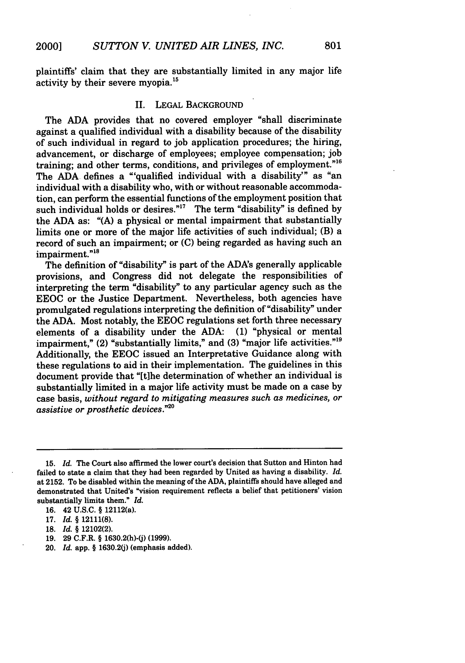plaintiffs' claim that they are substantially limited in any major life activity by their severe myopia.15

#### II. LEGAL BACKGROUND

The ADA provides that no covered employer "shall discriminate against a qualified individual with a disability because of the disability of such individual in regard to job application procedures; the hiring, advancement, or discharge of employees; employee compensation; job training; and other terms, conditions, and privileges of employment."16 The **ADA** defines a "'qualified individual with a disability'" as "an individual with a disability who, with or without reasonable accommodation, can perform the essential functions of the employment position that such individual holds or desires."<sup>17</sup> The term "disability" is defined by the ADA as: "(A) a physical or mental impairment that substantially limits one or more of the major life activities of such individual; (B) a record of such an impairment; or (C) being regarded as having such an impairment."<sup>18</sup>

The definition of "disability" is part of the ADA's generally applicable provisions, and Congress did not delegate the responsibilities of interpreting the term "disability" to any particular agency such as the EEOC or the Justice Department. Nevertheless, both agencies have promulgated regulations interpreting the definition of "disability" under the ADA. Most notably, the EEOC regulations set forth three necessary elements of a disability under the ADA: (1) "physical or mental impairment," (2) "substantially limits," and (3) "major life activities."<sup>19</sup> Additionally, the EEOC issued an Interpretative Guidance along with these regulations to aid in their implementation. The guidelines in this document provide that "[tihe determination of whether an individual is substantially limited in a major life activity must be made on a case by case basis, *without regard to mitigating measures such as medicines, or assistive or prosthetic devices."20*

- 19. 29 C.F.R. § 1630.2(h)-(j) (1999).
- 20. *Id.* app. § 1630.2(j) (emphasis added).

<sup>15.</sup> *Id.* The Court also affirmed the lower court's decision that Sutton and Hinton had failed to state a claim that they had been regarded by United as having a disability. *Id.* at 2152. To be disabled within the meaning of the **ADA,** plaintiffs should have alleged and demonstrated that United's "vision requirement reflects a belief that petitioners' vision substantially limits them." *Id.*

<sup>16. 42</sup> U.S.C. § 12112(a).

<sup>17.</sup> *Id. §* 12111(8).

<sup>18.</sup> *Id. §* 12102(2).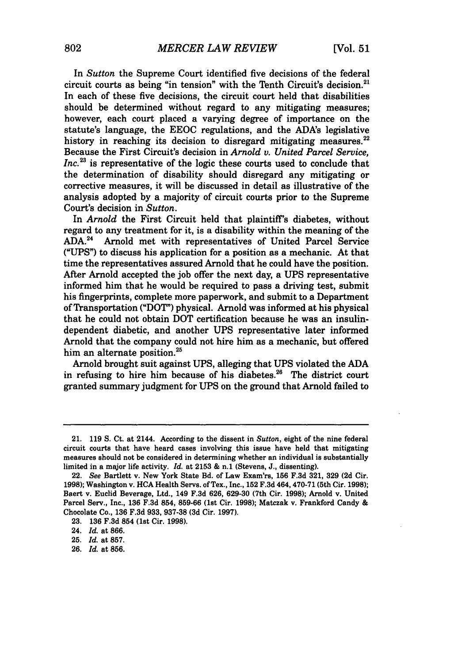In *Sutton* the Supreme Court identified five decisions of the federal circuit courts as being "in tension" with the Tenth Circuit's decision.<sup>21</sup> In each of these five decisions, the circuit court held that disabilities should be determined without regard to any mitigating measures; however, each court placed a varying degree of importance on the statute's language, the EEOC regulations, and the ADA's legislative history in reaching its decision to disregard mitigating measures. $22$ Because the First Circuit's decision in *Arnold v. United Parcel Service,* Inc.<sup>23</sup> is representative of the logic these courts used to conclude that the determination of disability should disregard any mitigating or corrective measures, it will be discussed in detail as illustrative of the analysis adopted by a majority of circuit courts prior to the Supreme Court's decision in *Sutton.*

In *Arnold* the First Circuit held that plaintiff's diabetes, without regard to any treatment for it, is a disability within the meaning of the ADA.24 Arnold met with representatives of United Parcel Service ("UPS") to discuss his application for a position as a mechanic. At that time the representatives assured Arnold that he could have the position. After Arnold accepted the job offer the next day, a UPS representative informed him that he would be required to pass a driving test, submit his fingerprints, complete more paperwork, and submit to a Department of Transportation ("DOT") physical. Arnold was informed at his physical that he could not obtain DOT certification because he was an insulindependent diabetic, and another UPS representative later informed Arnold that the company could not hire him as a mechanic, but offered him an alternate position.<sup>25</sup>

Arnold brought suit against UPS, alleging that UPS violated the ADA in refusing to hire him because of his diabetes.<sup>26</sup> The district court granted summary judgment for UPS on the ground that Arnold failed to

<sup>21. 119</sup> S. Ct. at 2144. According to the dissent in *Sutton,* eight of the nine federal circuit courts that have heard cases involving this issue have held that mitigating measures should not be considered in determining whether an individual is substantially limited in a major life activity. *Id.* at 2153 & n.1 (Stevens, J., dissenting).

<sup>22.</sup> *See* Bartlett v. New York State Bd. of Law Exam'rs, **156** F.3d 321, 329 (2d Cir. 1998); Washington v. HCA Health Servs. of Tex., Inc., 152 F.3d 464, 470-71 (5th Cir. 1998); Baert v. Euclid Beverage, Ltd., 149 F.3d 626, 629-30 (7th Cir. 1998); Arnold v. United Parcel Serv., Inc., 136 F.3d 854, 859-66 (1st Cir. 1998); Matczak v. Frankford Candy & Chocolate Co., 136 F.3d 933, 937-38 (3d Cir. 1997).

<sup>23. 136</sup> F.3d 854 (1st Cir. 1998).

<sup>24.</sup> *Id.* at 866.

<sup>25.</sup> *Id.* at 857.

<sup>26.</sup> *Id.* at 856.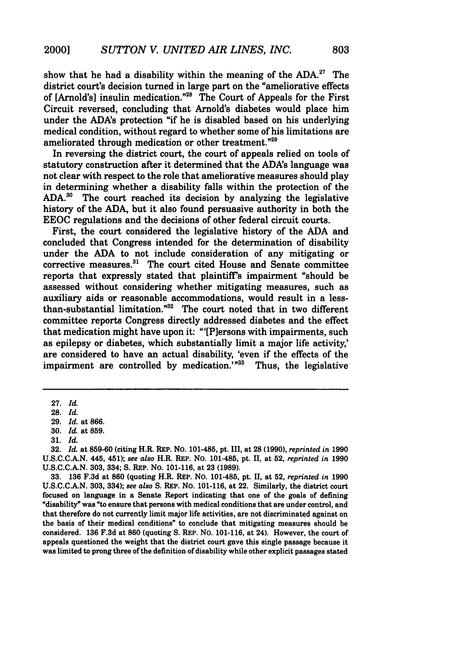show that he had a disability within the meaning of the  $ADA.<sup>27</sup>$  The district court's decision turned in large part on the "ameliorative effects of [Arnold's] insulin medication."<sup>28</sup> The Court of Appeals for the First Circuit reversed, concluding that Arnold's diabetes would place him under the ADA's protection "if he is disabled based on his underlying medical condition, without regard to whether some of his limitations are ameliorated through medication or other treatment."<sup>29</sup>

In reversing the district court, the court of appeals relied on tools of statutory construction after it determined that the ADA's language was not clear with respect to the role that ameliorative measures should play in determining whether a disability falls within the protection of the **ADA.3 °** The court reached its decision **by** analyzing the legislative history of the **ADA,** but it also found persuasive authority in both the **EEOC** regulations and the decisions of other federal circuit courts.

First, the court considered the legislative history of the **ADA** and concluded that Congress intended for the determination of disability under the **ADA** to not include consideration of any mitigating or corrective measures.<sup>31</sup> The court cited House and Senate committee reports that expressly stated that plaintiff's impairment "should be assessed without considering whether mitigating measures, such as auxiliary aids or reasonable accommodations, would result in a lessthan-substantial limitation."32 The court noted that in two different committee reports Congress directly addressed diabetes and the effect that medication might have upon it: "'[Plersons with impairments, such as epilepsy or diabetes, which substantially limit a major life activity,' are considered to have an actual disability, 'even if the effects of the impairment are controlled by medication.<sup>'"33</sup> Thus, the legislative

**32.** *Id.* at **859-60** (citing H.R. REP. No. 101-485, pt. III, at **28 (1990),** *reprinted in* **1990 U.S.C.C.A.N.** 445, 451); *see also* H.R. REP. No. 101-485, pt. II, at **52,** *reprinted in* **1990 U.S.C.C.A.N. 303,** 334; **S.** REP. No. **101-116,** at **23 (1989).**

**33. 136 F.3d** at **860** (quoting H.R. REP. **No.** 101-485, pt. II, at **52,** *reprinted in* **1990 U.S.C.C.A.N. 303,** 334); *see also* **S.** REP. NO. 101-116, at 22. Similarly, the district court focused on language in a Senate Report indicating that one of the goals of defining "disability" was "to ensure that persons with medical conditions that are under control, and that therefore do not currently limit major life activities, are not discriminated against on the basis of their medical conditions" to conclude that mitigating measures should be considered. **136 F.3d** at **860** (quoting **S.** REP. **NO. 101-116,** at 24). However, the court of appeals questioned the weight that the district court gave this single passage because it was limited to prong three of the definition of disability while other explicit passages stated

**<sup>27.</sup>** *Id.*

**<sup>28.</sup>** *Id.*

**<sup>29.</sup>** *Id.* at **866.**

**<sup>30.</sup>** *Id.* at **859.**

**<sup>31.</sup>** *Id.*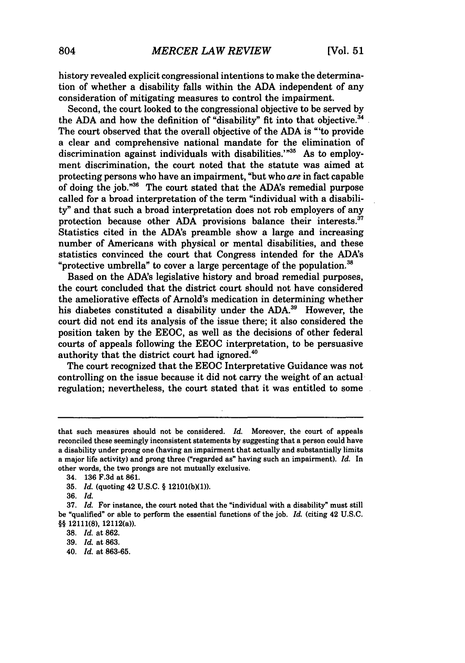history revealed explicit congressional intentions to make the determination of whether a disability falls within the ADA independent of any consideration of mitigating measures to control the impairment.

Second, the court looked to the congressional objective to be served by the ADA and how the definition of "disability" fit into that objective.<sup>34</sup> The court observed that the overall objective of the ADA is "'to provide a clear and comprehensive national mandate for the elimination of discrimination against individuals with disabilities.'"<sup>35</sup> As to employment discrimination, the court noted that the statute was aimed at protecting persons who have an impairment, "but who are in fact capable of doing the job."36 The court stated that the ADA's remedial purpose called for a broad interpretation of the term "individual with a disability" and that such a broad interpretation does not rob employers of any protection because other ADA provisions balance their interests.<sup>37</sup> Statistics cited in the ADA's preamble show a large and increasing number of Americans with physical or mental disabilities, and these statistics convinced the court that Congress intended for the ADA's "protective umbrella" to cover a large percentage of the population. $38$ 

Based on the ADA's legislative history and broad remedial purposes, the court concluded that the district court should not have considered the ameliorative effects of Arnold's medication in determining whether his diabetes constituted a disability under the **ADA. 3'** However, the court did not end its analysis of the issue there; it also considered the position taken by the EEOC, as well as the decisions of other federal courts of appeals following the EEOC interpretation, to be persuasive authority that the district court had ignored.<sup>40</sup>

The court recognized that the EEOC Interpretative Guidance was not controlling on the issue because it did not carry the weight of an actual regulation; nevertheless, the court stated that it was entitled to some

40. *Id.* at **863-65.**

that such measures should not be considered. *Id.* Moreover, the court of appeals reconciled these seemingly inconsistent statements by suggesting that a person could have a disability under prong one (having an impairment that actually and substantially limits **a** major life activity) and prong three ("regarded as" having such an impairment). *Id.* In other words, the two prongs are not mutually exclusive.

<sup>34.</sup> **136 F.3d** at **861.**

**<sup>35.</sup>** *Id.* (quoting 42 **U.S.C.** § **12101(b)(1)).**

**<sup>36.</sup>** *Id.*

**<sup>37.</sup>** *Id.* For instance, the court noted that the "individual with a disability" must still be "qualified" or able to perform the essential functions of the **job.** *Id.* (citing 42 **U.S.C.** §§ 12111(8), 12112(a)).

**<sup>38.</sup>** *Id.* at **862.**

**<sup>39.</sup>** *Id.* at **863.**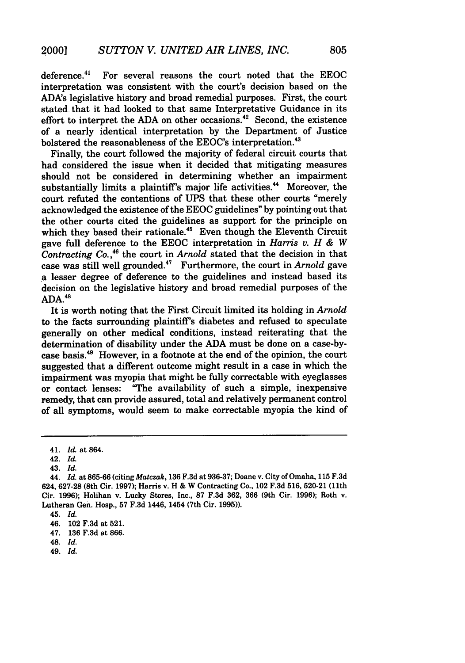deference. $41$  For several reasons the court noted that the EEOC interpretation was consistent with the court's decision based on the ADA's legislative history and broad remedial purposes. First, the court stated that it had looked to that same Interpretative Guidance in its effort to interpret the ADA on other occasions.<sup>42</sup> Second, the existence of a nearly identical interpretation **by** the Department of Justice bolstered the reasonableness of the EEOC's interpretation.<sup>43</sup>

Finally, the court followed the majority of federal circuit courts that had considered the issue when it decided that mitigating measures should not be considered in determining whether an impairment substantially limits a plaintiff's major life activities.<sup>44</sup> Moreover, the court refuted the contentions of **UPS** that these other courts "merely acknowledged the existence of the **EEOC** guidelines" **by** pointing out that the other courts cited the guidelines as support for the principle on which they based their rationale.<sup>45</sup> Even though the Eleventh Circuit gave full deference to the **EEOC** interpretation in *Harris v. H & W Contracting Co.,"* the court in *Arnold* stated that the decision in that case was still well grounded.47 Furthermore, the court in *Arnold* gave a lesser degree of deference to the guidelines and instead based its decision on the legislative history and broad remedial purposes of the **ADA. 4s**

It is worth noting that the First Circuit limited its holding in *Arnold* to the facts surrounding plaintiff's diabetes and refused to speculate generally on other medical conditions, instead reiterating that the determination of disability under the **ADA** must be done on a case-bycase basis.49 However, in a footnote at the end of the opinion, the court suggested that a different outcome might result in a case in which the impairment was myopia that might be fully correctable with eyeglasses or contact lenses: "The availability of such a simple, inexpensive remedy, that can provide assured, total and relatively permanent control of all symptoms, would seem to make correctable myopia the kind of

46. 102 **F.3d** at **521.**

- 48. *Id.*
- 49. *Id.*

<sup>41.</sup> *Id.* at 864.

<sup>42.</sup> *Id.*

<sup>43.</sup> *Id.*

<sup>44.</sup> *Id.* at **865-66** (citing *Matczak,* **136 F.3d** at **936-37;** Doane v. City of Omaha, **115 F.3d** 624, **627-28** (8th Cir. **1997);** Harris v. H **&** W Contracting Co., 102 **F.3d 516, 520-21 (11th** Cir. **1996);** Holihan v. Lucky Stores, Inc., **87 F.3d 362, 366** (9th Cir. **1996);** Roth v. Lutheran Gen. Hosp., **57 F.3d** 1446, 1454 (7th Cir. **1995)).**

<sup>45.</sup> *Id.*

<sup>47.</sup> **136 F.3d** at **866.**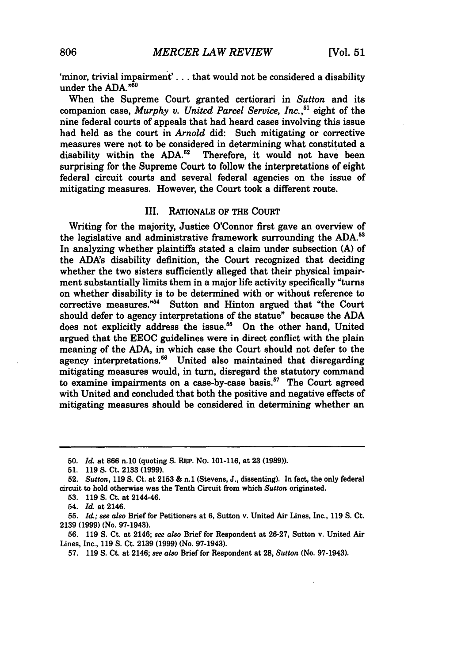'minor, trivial impairment'. **. .** that would not be considered a disability under the **ADA."5 "**

When the Supreme Court granted certiorari in *Sutton* and its companion case, *Murphy v. Unitcd Parcel Service, Inc.,"* eight of the nine federal courts of appeals that had heard cases involving this issue had held as the court in *Arnold* did: Such mitigating or corrective measures were not to be considered in determining what constituted a disability within the ADA.<sup>52</sup> Therefore, it would not have been Therefore, it would not have been surprising for the Supreme Court to follow the interpretations of eight federal circuit courts and several federal agencies on the issue of mitigating measures. However, the Court took a different route.

#### III. RATIONALE OF THE **COURT**

Writing for the majority, Justice O'Connor first gave an overview of the legislative and administrative framework surrounding the **ADA. <sup>3</sup>** In analyzing whether plaintiffs stated a claim under subsection **(A)** of the ADA's disability definition, the Court recognized that deciding whether the two sisters sufficiently alleged that their physical impairment substantially limits them in a major life activity specifically "turns on whether disability is to be determined with or without reference to corrective measures."<sup>54</sup> Sutton and Hinton argued that "the Court" should defer to agency interpretations of the statue" because the **ADA** does not explicitly address the issue.<sup>55</sup> On the other hand, United argued that the **EEOC** guidelines were in direct conflict with the plain meaning of the **ADA,** in which case the Court should not defer to the agency interpretations.<sup>56</sup> United also maintained that disregarding mitigating measures would, in turn, disregard the statutory command to examine impairments on a case-by-case basis. $57$  The Court agreed with United and concluded that both the positive and negative effects of mitigating measures should be considered in determining whether an

**56. 119 S.** Ct. at 2146; *see also* Brief for Respondent at **26-27,** Sutton v. United Air Lines, Inc., **119 S.** Ct. **2139 (1999)** (No. **97-1943).**

**57. 119 S.** Ct. at 2146; *see also* Brief for Respondent at **28,** *Sutton* (No. **97-1943).**

**<sup>50.</sup>** *Id.* at **866** n.10 (quoting **S.** REP. **No. 101-116,** at **23 (1989)).**

**<sup>51. 119</sup> S.** Ct. **2133 (1999).**

**<sup>52.</sup>** *Sutton,* **119 S.** Ct. at **2153 &** n.1 (Stevens, **J.,** dissenting). In fact, the only federal circuit to hold otherwise was the Tenth Circuit from which *Sutton* originated.

**<sup>53. 119</sup> S.** Ct. at 2144-46.

<sup>54.</sup> *Id.* at 2146.

**<sup>55.</sup>** *Id.; see also* Brief for Petitioners at **6,** Sutton v. United Air Lines, Inc., **119 S.** Ct. **2139 (1999)** (No. **97-1943).**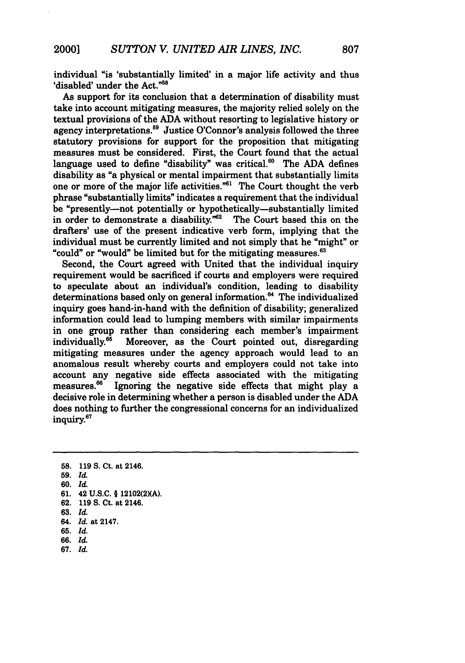individual "is 'substantially limited' in a major life activity and thus 'disabled' under the Act."<sup>58</sup>

As support for its conclusion that a determination of disability must take into account mitigating measures, the majority relied solely on the textual provisions of the **ADA** without resorting to legislative history or agency interpretations.59 Justice O'Connor's analysis followed the three statutory provisions for support for the proposition that mitigating measures must be considered. First, the Court found that the actual language used to define "disability" was critical. $^{60}$  The ADA defines disability as "a physical or mental impairment that substantially limits one or more of the major life activities."<sup>61</sup> The Court thought the verb phrase "substantially limits" indicates a requirement that the individual be "presently-not potentially or hypothetically-substantially limited in order to demonstrate a disability. $m^{62}$  The Court based this on the drafters' use of the present indicative verb form, implying that the individual must be currently limited and not simply that he "might" or "could" or "would" be limited but for the mitigating measures. $63$ 

Second, the Court agreed with United that the individual inquiry requirement would be sacrificed if courts and employers were required to speculate about an individual's condition, leading to disability determinations based only on general information.<sup>64</sup> The individualized inquiry goes hand-in-hand with the definition of disability; generalized information could lead to lumping members with similar impairments in one group rather than considering each member's impairment individually.<sup>65</sup> Moreover, as the Court pointed out, disregarding mitigating measures under the agency approach would lead to an anomalous result whereby courts and employers could not take into account any negative side effects associated with the mitigating measures.<sup>66</sup> Ignoring the negative side effects that might play a Ignoring the negative side effects that might play a decisive role in determining whether a person is disabled under the **ADA** does nothing to further the congressional concerns for an individualized inquiry. 67

- **59.** *Id.*
- **60.** *Id.*
- **61.** 42 U.S.C. § 12102(2)(A).
- **62. 119 S.** Ct. at 2146.
- **63.** *Id.*
- 64. *Id.* at 2147.
- **65.** *Id.*
- **66.** *Id.*
- **67.** *Id.*

**<sup>58. 119</sup> S.** Ct. at 2146.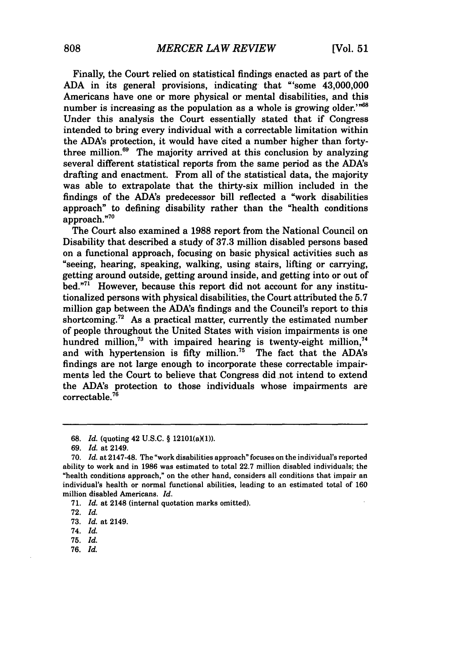Finally, the Court relied on statistical findings enacted as part of the ADA in its general provisions, indicating that "'some 43,000,000 Americans have one or more physical or mental disabilities, and this number is increasing as the population as a whole is growing older.<sup>'"68</sup> Under this analysis the Court essentially stated that if Congress intended to bring every individual with a correctable limitation within the ADA's protection, it would have cited a number higher than fortythree million. $69$  The majority arrived at this conclusion by analyzing several different statistical reports from the same period as the ADA's drafting and enactment. From all of the statistical data, the majority was able to extrapolate that the thirty-six million included in the findings of the ADA's predecessor bill reflected a "work disabilities approach" to defining disability rather than the "health conditions approach."<sup>70</sup>

The Court also examined a 1988 report from the National Council on Disability that described a study of 37.3 million disabled persons based on a functional approach, focusing on basic physical activities such as "seeing, hearing, speaking, walking, using stairs, lifting or carrying, getting around outside, getting around inside, and getting into or out of bed. $"^{71}$  However, because this report did not account for any institutionalized persons with physical disabilities, the Court attributed the 5.7 million gap between the ADA's findings and the Council's report to this shortcoming.<sup>72</sup> As a practical matter, currently the estimated number of people throughout the United States with vision impairments is one hundred million,<sup>73</sup> with impaired hearing is twenty-eight million,<sup>74</sup> and with hypertension is fifty million.<sup>75</sup> The fact that the ADA's findings are not large enough to incorporate these correctable impairments led the Court to believe that Congress did not intend to extend the ADA's protection to those individuals whose impairments are  $correctable.<sup>76</sup>$ 

76. *Id.*

<sup>68.</sup> *Id.* (quoting 42 U.S.C. § 12101(a)(1)).

<sup>69.</sup> *Id.* at 2149.

<sup>70.</sup> *Id.* at 2147-48. The "work disabilities approach" focuses on the individual's reported ability to work and in 1986 was estimated to total 22.7 million disabled individuals; the "health conditions approach," on the other hand, considers all conditions that impair an individual's health or normal functional abilities, leading to an estimated total of 160 million disabled Americans. *Id.*

<sup>71.</sup> *Id.* at 2148 (internal quotation marks omitted).

<sup>72.</sup> *Id.*

<sup>73.</sup> *Id.* at 2149.

<sup>74.</sup> *Id.*

**<sup>75.</sup>** *Id.*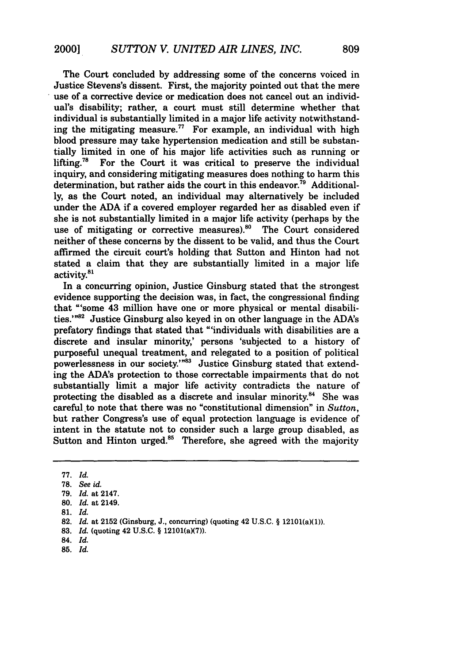The Court concluded by addressing some of the concerns voiced in Justice Stevens's dissent. First, the majority pointed out that the mere use of a corrective device or medication does not cancel out an individual's disability; rather, a court must still determine whether that individual is substantially limited in a major life activity notwithstanding the mitigating measure.<sup>77</sup> For example, an individual with high blood pressure may take hypertension medication and still be substantially limited in one of his major life activities such as running or lifting.<sup>78</sup> For the Court it was critical to preserve the individual inquiry, and considering mitigating measures does nothing to harm this determination, but rather aids the court in this endeavor.<sup>79</sup> Additionally, as the Court noted, an individual may alternatively be included under the ADA if a covered employer regarded her as disabled even if she is not substantially limited in a major life activity (perhaps by the use of mitigating or corrective measures).<sup>80</sup> The Court considered neither of these concerns by the dissent to be valid, and thus the Court affirmed the circuit court's holding that Sutton and Hinton had not stated a claim that they are substantially limited in a major life activity.<sup>81</sup>

In a concurring opinion, Justice Ginsburg stated that the strongest evidence supporting the decision was, in fact, the congressional finding that "'some 43 million have one or more physical or mental disabilities.'<sup>"82</sup> Justice Ginsburg also keyed in on other language in the ADA's prefatory findings that stated that "'individuals with disabilities are a discrete and insular minority,' persons 'subjected to a history of purposeful unequal treatment, and relegated to a position of political powerlessness in our society."<sup>83</sup> Justice Ginsburg stated that extending the ADA's protection to those correctable impairments that do not substantially limit a major life activity contradicts the nature of protecting the disabled as a discrete and insular minority. $84$  She was careful to note that there was no "constitutional dimension" in *Sutton,* but rather Congress's use of equal protection language is evidence of intent in the statute not to consider such a large group disabled, as Sutton and Hinton urged. $85$  Therefore, she agreed with the majority

83. *Id.* (quoting 42 U.S.C. § 12101(a)(7)).

**85.** *Id.*

**<sup>77.</sup>** *Id.*

**<sup>78.</sup>** *See id.*

**<sup>79.</sup>** *Id.* at 2147.

**<sup>80.</sup>** *Id.* at 2149.

**<sup>81.</sup>** *Id.*

**<sup>82.</sup>** *Id.* at 2152 (Ginsburg, J., concurring) (quoting 42 U.S.C. § 12101(a)(1)).

<sup>84.</sup> *Id.*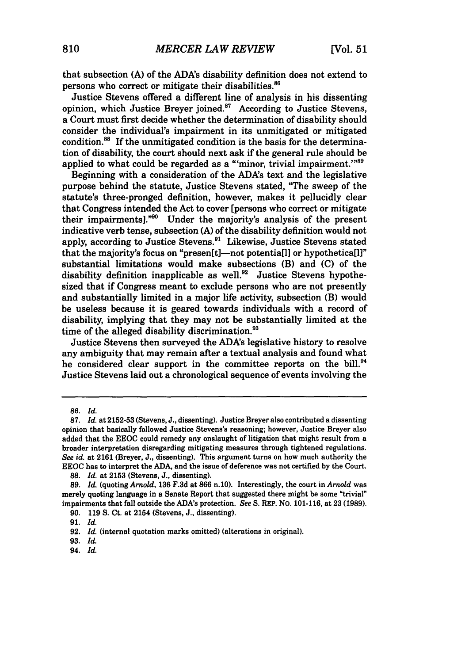that subsection **(A)** of the ADA's disability definition does not extend to persons who correct or mitigate their disabilities. <sup>86</sup>

Justice Stevens offered a different line of analysis in his dissenting opinion, which Justice Breyer joined.<sup>87</sup> According to Justice Stevens, a Court must first decide whether the determination of disability should consider the individual's impairment in its unmitigated or mitigated condition.<sup>88</sup> If the unmitigated condition is the basis for the determination of disability, the court should next ask if the general rule should be applied to what could be regarded as a "'minor, trivial impairment.'"<sup>89</sup>

Beginning with a consideration of the ADA's text and the legislative purpose behind the statute, Justice Stevens stated, "The sweep of the statute's three-pronged definition, however, makes it pellucidly clear that Congress intended the Act to cover [persons who correct or mitigate their impairments]."<sup>90</sup> Under the majority's analysis of the present indicative verb tense, subsection **(A)** of the disability definition would not apply, according to Justice Stevens.<sup>91</sup> Likewise, Justice Stevens stated that the majority's focus on "presen[t]-not potentia[l] or hypothetica[l]" substantial limitations would make subsections (B) and **(C)** of the disability definition inapplicable as well.<sup>92</sup> Justice Stevens hypothesized that if Congress meant to exclude persons who are not presently and substantially limited in a major life activity, subsection (B) would be useless because it is geared towards individuals with a record of disability, implying that they may not be substantially limited at the time of the alleged disability discrimination.<sup>93</sup>

Justice Stevens then surveyed the ADA's legislative history to resolve any ambiguity that may remain after a textual analysis and found what he considered clear support in the committee reports on the bill.<sup>94</sup> Justice Stevens laid out a chronological sequence of events involving the

<sup>86.</sup> *Id.*

<sup>87.</sup> *Id.* at 2152-53 (Stevens, J., dissenting). Justice Breyer also contributed a dissenting opinion that basically followed Justice Stevens's reasoning; however, Justice Breyer also added that the EEOC could remedy any onslaught of litigation that might result from a broader interpretation disregarding mitigating measures through tightened regulations. *See id.* at 2161 (Breyer, J., dissenting). This argument turns on how much authority the EEOC has to interpret the ADA, and the issue of deference was not certified by the Court.

<sup>88.</sup> *Id.* at 2153 (Stevens, J., dissenting).

<sup>89.</sup> Id. (quoting *Arnold,* 136 F.3d at 866 n. 10). Interestingly, the court in *Arnold* was merely quoting language in a Senate Report that suggested there might be some "trivial" impairments that fall outside the ADA's protection. *See* S. REP. No. 101-116, at 23 (1989).

<sup>90. 119</sup> **S.** Ct. at 2154 (Stevens, J., dissenting).

<sup>91.</sup> Id.

<sup>92.</sup> *Id.* (internal quotation marks omitted) (alterations in original).

<sup>93.</sup> *Id.*

<sup>94.</sup> *Id.*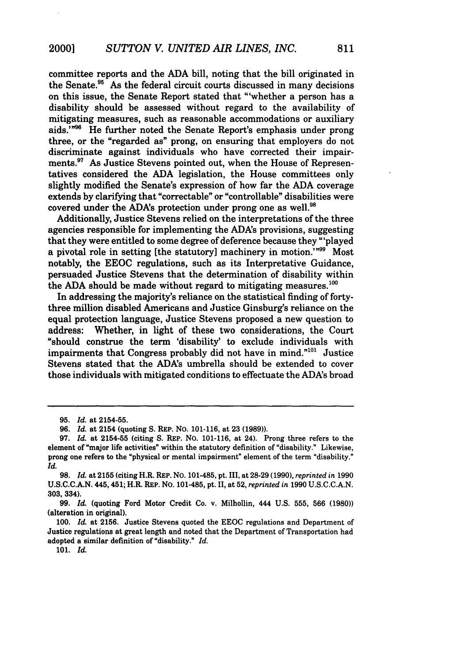committee reports and the ADA bill, noting that the bill originated in the Senate.95 As the federal circuit courts discussed in many decisions on this issue, the Senate Report stated that "'whether a person has a disability should be assessed without regard to the availability of mitigating measures, such as reasonable accommodations or auxiliary aids."<sup>96</sup> He further noted the Senate Report's emphasis under prong three, or the "regarded as" prong, on ensuring that employers do not discriminate against individuals who have corrected their impairments.<sup>97</sup> As Justice Stevens pointed out, when the House of Representatives considered the ADA legislation, the House committees only slightly modified the Senate's expression of how far the ADA coverage extends by clarifying that "correctable" or "controllable" disabilities were covered under the ADA's protection under prong one as well.<sup>98</sup>

Additionally, Justice Stevens relied on the interpretations of the three agencies responsible for implementing the ADA's provisions, suggesting that they were entitled to some degree of deference because they "'played a pivotal role in setting [the statutory] machinery in motion.'"99 Most notably, the EEOC regulations, such as its Interpretative Guidance, persuaded Justice Stevens that the determination of disability within the ADA should be made without regard to mitigating measures.<sup>100</sup>

In addressing the majority's reliance on the statistical finding of fortythree million disabled Americans and Justice Ginsburg's reliance on the equal protection language, Justice Stevens proposed a new question to address: Whether, in light of these two considerations, the Court "should construe the term 'disability' to exclude individuals with impairments that Congress probably did not have in mind."<sup>101</sup> Justice Stevens stated that the ADA's umbrella should be extended to cover those individuals with mitigated conditions to effectuate the ADA's broad

**<sup>95.</sup>** *Id.* at **2154-55.**

**<sup>96.</sup>** *Id.* at 2154 (quoting S. REP. No. 101-116, at **23 (1989)).**

<sup>97.</sup> *Id.* at **2154-55** (citing S. REP. No. 101-116, at 24). Prong three refers to the element of "major life activities" within the statutory definition of "disability." Likewise, prong one refers to the "physical or mental impairment" element of the term "disability." *Id.*

**<sup>98.</sup>** *Id.* at **2155** (citing H.R. REP. No. 101-485, pt. III, at **28-29 (1990),** *reprinted in* **1990** U.S.C.C.A.N. 445,451; H.R. REP. NO. 101-485, pt. **I,** at **52,** *reprinted in* **1990** U.S.C.C.A.N. **303, 334).**

**<sup>99.</sup>** *Id.* (quoting Ford Motor Credit Co. v. Milhollin, 444 U.S. 555, 566 **(1980))** (alteration in original).

<sup>100.</sup> *Id.* at 2156. Justice Stevens quoted the EEOC regulations and Department of Justice regulations at great length and noted that the Department of Transportation had adopted a similar definition of "disability." *Id.*

**<sup>101.</sup>** *Id.*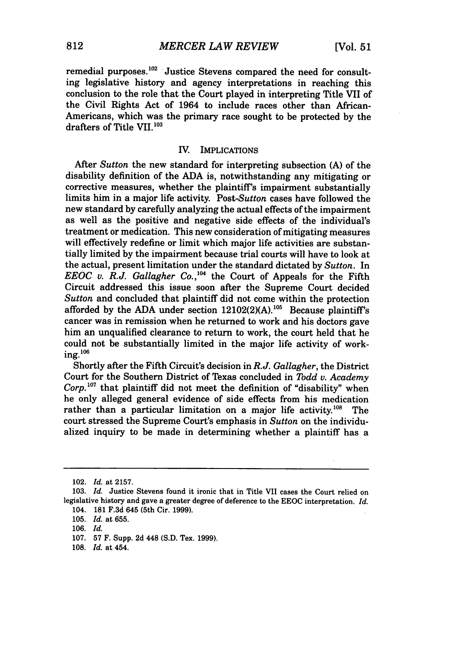remedial purposes.<sup>102</sup> Justice Stevens compared the need for consulting legislative history and agency interpretations in reaching this conclusion to the role that the Court played in interpreting Title VII of the Civil Rights Act of 1964 to include races other than African-Americans, which was the primary race sought to be protected by the drafters of Title VII.<sup>103</sup>

#### IV. IMPLICATIONS

After *Sutton* the new standard for interpreting subsection (A) of the disability definition of the ADA is, notwithstanding any mitigating or corrective measures, whether the plaintiff's impairment substantially limits him in a major life activity. *Post-Sutton* cases have followed the new standard **by** carefully analyzing the actual effects of the impairment as well as the positive and negative side effects of the individual's treatment or medication. This new consideration of mitigating measures will effectively redefine or limit which major life activities are substantially limited by the impairment because trial courts will have to look at the actual, present limitation under the standard dictated by *Sutton.* In *EEOC v. R.J. Gallagher Co.*,<sup>104</sup> the Court of Appeals for the Fifth Circuit addressed this issue soon after the Supreme Court decided *Sutton* and concluded that plaintiff did not come within the protection afforded by the ADA under section 12102(2)(A).<sup>105</sup> Because plaintiff's cancer was in remission when he returned to work and his doctors gave him an unqualified clearance to return to work, the court held that he could not be substantially limited in the major life activity of work- **ing.106**

Shortly after the Fifth Circuit's decision in *R.J. Gallagher,* the District Court for the Southern District of Texas concluded in *Todd v. Academy* Corp.<sup>107</sup> that plaintiff did not meet the definition of "disability" when he only alleged general evidence of side effects from his medication rather than a particular limitation on a major life activity.<sup>108</sup> The court stressed the Supreme Court's emphasis in *Sutton* on the individualized inquiry to be made in determining whether a plaintiff has a

<sup>102.</sup> *Id.* at **2157.**

**<sup>103.</sup>** *Id.* Justice Stevens found it ironic that in Title VII cases the Court relied on legislative history and gave a greater degree of deference to the EEOC interpretation. *Id.* 104. 181 **F.3d** 645 (5th Cir. 1999).

<sup>105.</sup> *Id.* at **655.**

<sup>106.</sup> *Id.*

<sup>107.</sup> **57** F. Supp. **2d** 448 (S.D. Tex. 1999).

<sup>108.</sup> *Id.* at 454.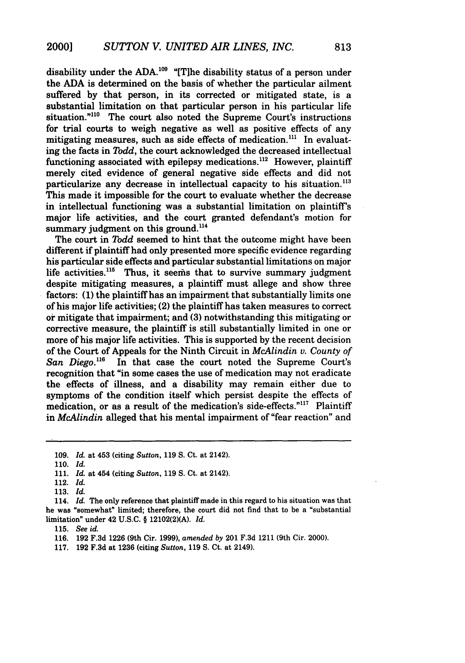disability under the ADA.<sup>109</sup> "[T]he disability status of a person under the ADA is determined on the basis of whether the particular ailment suffered by that person, in its corrected or mitigated state, is a substantial limitation on that particular person in his particular life situation."<sup>110</sup> The court also noted the Supreme Court's instructions for trial courts to weigh negative as well as positive effects of any mitigating measures, such as side effects of medication.<sup>111</sup> In evaluating the facts in *Todd,* the court acknowledged the decreased intellectual functioning associated with epilepsy medications.<sup>112</sup> However, plaintiff merely cited evidence of general negative side effects and did not particularize any decrease in intellectual capacity to his situation.<sup>113</sup> This made it impossible for the court to evaluate whether the decrease in intellectual functioning was a substantial limitation on plaintiff's major life activities, and the court granted defendant's motion for summary judgment on this ground.<sup>114</sup>

The court in *Todd* seemed to hint that the outcome might have been different if plaintiff had only presented more specific evidence regarding his particular side effects and particular substantial limitations on major life activities.<sup>115</sup> Thus, it seems that to survive summary judgment despite mitigating measures, a plaintiff must allege and show three factors: **(1)** the plaintiff has an impairment that substantially limits one of his major life activities; (2) the plaintiff has taken measures to correct or mitigate that impairment; and **(3)** notwithstanding this mitigating or corrective measure, the plaintiff is still substantially limited in one or more of his major life activities. This is supported by the recent decision of the Court of Appeals for the Ninth Circuit in *McAlindin* v. *County of San Diego."6* In that case the court noted the Supreme Court's recognition that "in some cases the use of medication may not eradicate the effects of illness, and a disability may remain either due to symptoms of the condition itself which persist despite the effects of medication, or as a result of the medication's side-effects."<sup>117</sup> Plaintiff in *McAlindin* alleged that his mental impairment of "fear reaction" and

<sup>109.</sup> *Id.* at 453 (citing *Sutton,* 119 S. Ct. at 2142).

<sup>110.</sup> *Id.*

<sup>111.</sup> *Id.* at 454 (citing *Sutton,* **119 S.** Ct. at 2142).

<sup>112.</sup> *Id.*

<sup>113.</sup> *Id.*

<sup>114.</sup> *Id.* The only reference that plaintiff made in this regard to his situation was that he was "somewhat" limited; therefore, the court did not find that to be a "substantial limitation" under 42 U.S.C. § 12102(2)(A). *Id.*

<sup>115.</sup> *See id.*

<sup>116. 192</sup> F.3d 1226 (9th Cir. 1999), *amended by* 201 F.3d 1211 (9th Cir. 2000).

<sup>117.</sup> **192** F.3d at 1236 (citing *Sutton,* 119 S. Ct. at 2149).